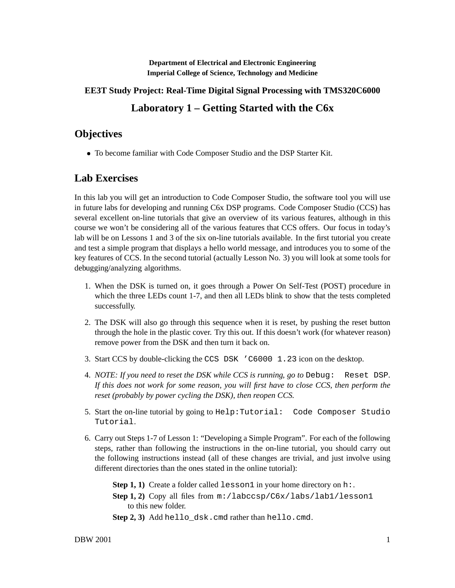**Department of Electrical and Electronic Engineering Imperial College of Science, Technology and Medicine**

## **EE3T Study Project: Real-Time Digital Signal Processing with TMS320C6000**

## **Laboratory 1 – Getting Started with the C6x**

## **Objectives**

To become familiar with Code Composer Studio and the DSP Starter Kit.

## **Lab Exercises**

In this lab you will get an introduction to Code Composer Studio, the software tool you will use in future labs for developing and running C6x DSP programs. Code Composer Studio (CCS) has several excellent on-line tutorials that give an overview of its various features, although in this course we won't be considering all of the various features that CCS offers. Our focus in today's lab will be on Lessons 1 and 3 of the six on-line tutorials available. In the first tutorial you create and test a simple program that displays a hello world message, and introduces you to some of the key features of CCS. In the second tutorial (actually Lesson No. 3) you will look at some tools for debugging/analyzing algorithms.

- 1. When the DSK is turned on, it goes through a Power On Self-Test (POST) procedure in which the three LEDs count 1-7, and then all LEDs blink to show that the tests completed successfully.
- 2. The DSK will also go through this sequence when it is reset, by pushing the reset button through the hole in the plastic cover. Try this out. If this doesn't work (for whatever reason) remove power from the DSK and then turn it back on.
- 3. Start CCS by double-clicking the CCS DSK 'C6000 1.23 icon on the desktop.
- 4. *NOTE: If you need to reset the DSK while CCS is running, go to* Debug: Reset DSP*. If this does not work for some reason, you will first have to close CCS, then perform the reset (probably by power cycling the DSK), then reopen CCS.*
- 5. Start the on-line tutorial by going to Help:Tutorial: Code Composer Studio Tutorial.
- 6. Carry out Steps 1-7 of Lesson 1: "Developing a Simple Program". For each of the following steps, rather than following the instructions in the on-line tutorial, you should carry out the following instructions instead (all of these changes are trivial, and just involve using different directories than the ones stated in the online tutorial):

**Step 1, 1)** Create a folder called  $l$  esson1 in your home directory on h:.

- **Step 1, 2)** Copy all files from m:/labccsp/C6x/labs/lab1/lesson1 to this new folder.
- **Step 2, 3)** Add hello\_dsk.cmd rather than hello.cmd.